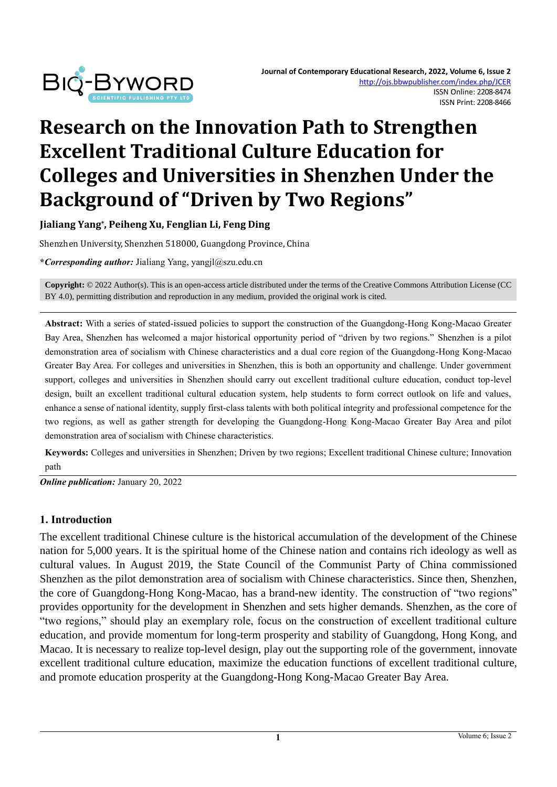

# **Research on the Innovation Path to Strengthen Excellent Traditional Culture Education for Colleges and Universities in Shenzhen Under the Background of "Driven by Two Regions"**

**Jialiang Yang\* , Peiheng Xu, Fenglian Li, Feng Ding**

Shenzhen University, Shenzhen 518000, Guangdong Province, China

**\****Corresponding author:* Jialiang Yang, yangjl@szu.edu.cn

**Copyright:** © 2022 Author(s). This is an open-access article distributed under the terms of th[e Creative Commons Attribution License \(CC](https://creativecommons.org/licenses/by/4.0/)  [BY 4.0\),](https://creativecommons.org/licenses/by/4.0/) permitting distribution and reproduction in any medium, provided the original work is cited.

**Abstract:** With a series of stated-issued policies to support the construction of the Guangdong-Hong Kong-Macao Greater Bay Area, Shenzhen has welcomed a major historical opportunity period of "driven by two regions." Shenzhen is a pilot demonstration area of socialism with Chinese characteristics and a dual core region of the Guangdong-Hong Kong-Macao Greater Bay Area. For colleges and universities in Shenzhen, this is both an opportunity and challenge. Under government support, colleges and universities in Shenzhen should carry out excellent traditional culture education, conduct top-level design, built an excellent traditional cultural education system, help students to form correct outlook on life and values, enhance a sense of national identity, supply first-class talents with both political integrity and professional competence for the two regions, as well as gather strength for developing the Guangdong-Hong Kong-Macao Greater Bay Area and pilot demonstration area of socialism with Chinese characteristics.

**Keywords:** Colleges and universities in Shenzhen; Driven by two regions; Excellent traditional Chinese culture; Innovation path

*Online publication:* January 20, 2022

#### **1. Introduction**

The excellent traditional Chinese culture is the historical accumulation of the development of the Chinese nation for 5,000 years. It is the spiritual home of the Chinese nation and contains rich ideology as well as cultural values. In August 2019, the State Council of the Communist Party of China commissioned Shenzhen as the pilot demonstration area of socialism with Chinese characteristics. Since then, Shenzhen, the core of Guangdong-Hong Kong-Macao, has a brand-new identity. The construction of "two regions" provides opportunity for the development in Shenzhen and sets higher demands. Shenzhen, as the core of "two regions," should play an exemplary role, focus on the construction of excellent traditional culture education, and provide momentum for long-term prosperity and stability of Guangdong, Hong Kong, and Macao. It is necessary to realize top-level design, play out the supporting role of the government, innovate excellent traditional culture education, maximize the education functions of excellent traditional culture, and promote education prosperity at the Guangdong-Hong Kong-Macao Greater Bay Area.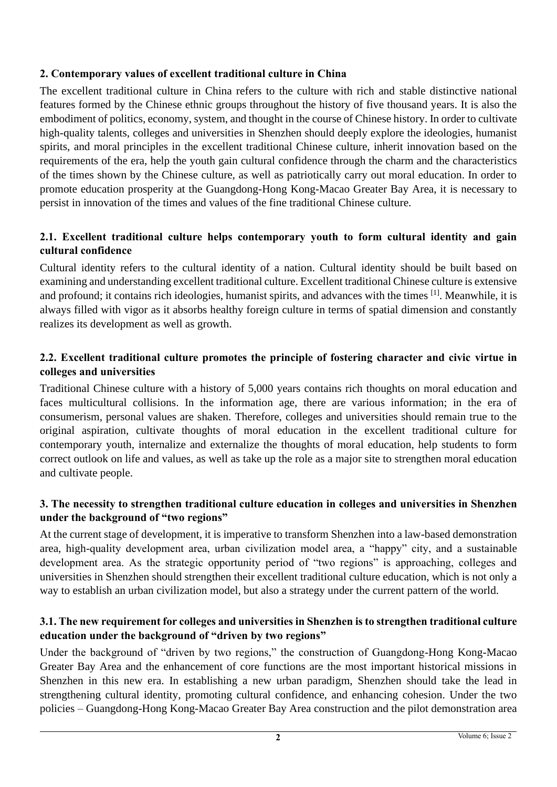## **2. Contemporary values of excellent traditional culture in China**

The excellent traditional culture in China refers to the culture with rich and stable distinctive national features formed by the Chinese ethnic groups throughout the history of five thousand years. It is also the embodiment of politics, economy, system, and thought in the course of Chinese history. In order to cultivate high-quality talents, colleges and universities in Shenzhen should deeply explore the ideologies, humanist spirits, and moral principles in the excellent traditional Chinese culture, inherit innovation based on the requirements of the era, help the youth gain cultural confidence through the charm and the characteristics of the times shown by the Chinese culture, as well as patriotically carry out moral education. In order to promote education prosperity at the Guangdong-Hong Kong-Macao Greater Bay Area, it is necessary to persist in innovation of the times and values of the fine traditional Chinese culture.

## **2.1. Excellent traditional culture helps contemporary youth to form cultural identity and gain cultural confidence**

Cultural identity refers to the cultural identity of a nation. Cultural identity should be built based on examining and understanding excellent traditional culture. Excellent traditional Chinese culture is extensive and profound; it contains rich ideologies, humanist spirits, and advances with the times <sup>[1]</sup>. Meanwhile, it is always filled with vigor as it absorbs healthy foreign culture in terms of spatial dimension and constantly realizes its development as well as growth.

## **2.2. Excellent traditional culture promotes the principle of fostering character and civic virtue in colleges and universities**

Traditional Chinese culture with a history of 5,000 years contains rich thoughts on moral education and faces multicultural collisions. In the information age, there are various information; in the era of consumerism, personal values are shaken. Therefore, colleges and universities should remain true to the original aspiration, cultivate thoughts of moral education in the excellent traditional culture for contemporary youth, internalize and externalize the thoughts of moral education, help students to form correct outlook on life and values, as well as take up the role as a major site to strengthen moral education and cultivate people.

#### **3. The necessity to strengthen traditional culture education in colleges and universities in Shenzhen under the background of "two regions"**

At the current stage of development, it is imperative to transform Shenzhen into a law-based demonstration area, high-quality development area, urban civilization model area, a "happy" city, and a sustainable development area. As the strategic opportunity period of "two regions" is approaching, colleges and universities in Shenzhen should strengthen their excellent traditional culture education, which is not only a way to establish an urban civilization model, but also a strategy under the current pattern of the world.

#### **3.1. The new requirement for colleges and universities in Shenzhen is to strengthen traditional culture education under the background of "driven by two regions"**

Under the background of "driven by two regions," the construction of Guangdong-Hong Kong-Macao Greater Bay Area and the enhancement of core functions are the most important historical missions in Shenzhen in this new era. In establishing a new urban paradigm, Shenzhen should take the lead in strengthening cultural identity, promoting cultural confidence, and enhancing cohesion. Under the two policies – Guangdong-Hong Kong-Macao Greater Bay Area construction and the pilot demonstration area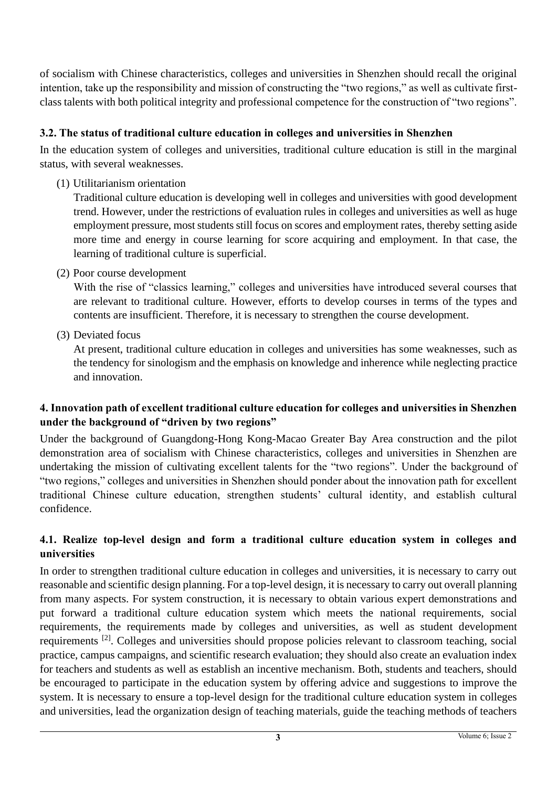of socialism with Chinese characteristics, colleges and universities in Shenzhen should recall the original intention, take up the responsibility and mission of constructing the "two regions," as well as cultivate firstclass talents with both political integrity and professional competence for the construction of "two regions".

## **3.2. The status of traditional culture education in colleges and universities in Shenzhen**

In the education system of colleges and universities, traditional culture education is still in the marginal status, with several weaknesses.

(1) Utilitarianism orientation

Traditional culture education is developing well in colleges and universities with good development trend. However, under the restrictions of evaluation rules in colleges and universities as well as huge employment pressure, most students still focus on scores and employment rates, thereby setting aside more time and energy in course learning for score acquiring and employment. In that case, the learning of traditional culture is superficial.

(2) Poor course development

With the rise of "classics learning," colleges and universities have introduced several courses that are relevant to traditional culture. However, efforts to develop courses in terms of the types and contents are insufficient. Therefore, it is necessary to strengthen the course development.

(3) Deviated focus

At present, traditional culture education in colleges and universities has some weaknesses, such as the tendency for sinologism and the emphasis on knowledge and inherence while neglecting practice and innovation.

#### **4. Innovation path of excellent traditional culture education for colleges and universities in Shenzhen under the background of "driven by two regions"**

Under the background of Guangdong-Hong Kong-Macao Greater Bay Area construction and the pilot demonstration area of socialism with Chinese characteristics, colleges and universities in Shenzhen are undertaking the mission of cultivating excellent talents for the "two regions". Under the background of "two regions," colleges and universities in Shenzhen should ponder about the innovation path for excellent traditional Chinese culture education, strengthen students' cultural identity, and establish cultural confidence.

## **4.1. Realize top-level design and form a traditional culture education system in colleges and universities**

In order to strengthen traditional culture education in colleges and universities, it is necessary to carry out reasonable and scientific design planning. For a top-level design, it is necessary to carry out overall planning from many aspects. For system construction, it is necessary to obtain various expert demonstrations and put forward a traditional culture education system which meets the national requirements, social requirements, the requirements made by colleges and universities, as well as student development requirements [2]. Colleges and universities should propose policies relevant to classroom teaching, social practice, campus campaigns, and scientific research evaluation; they should also create an evaluation index for teachers and students as well as establish an incentive mechanism. Both, students and teachers, should be encouraged to participate in the education system by offering advice and suggestions to improve the system. It is necessary to ensure a top-level design for the traditional culture education system in colleges and universities, lead the organization design of teaching materials, guide the teaching methods of teachers